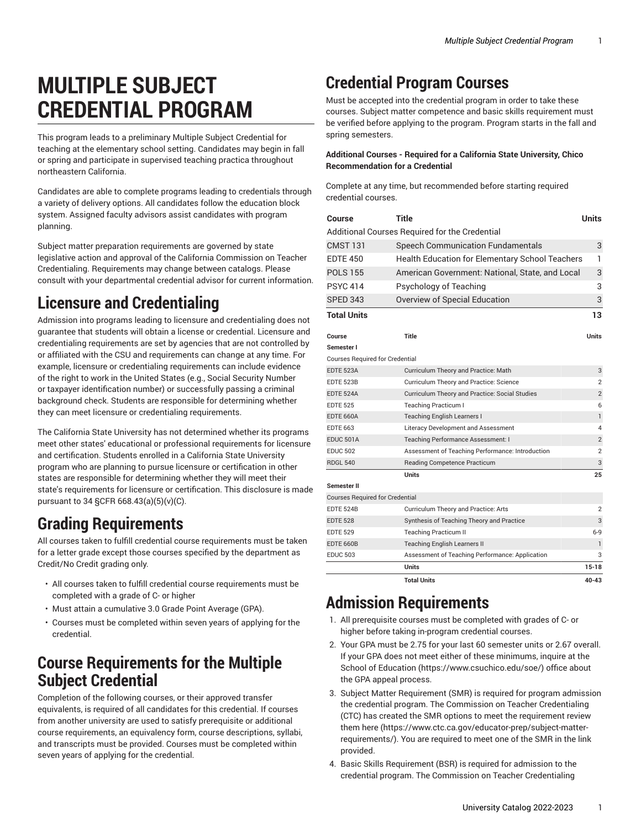# **MULTIPLE SUBJECT CREDENTIAL PROGRAM**

This program leads to a preliminary Multiple Subject Credential for teaching at the elementary school setting. Candidates may begin in fall or spring and participate in supervised teaching practica throughout northeastern California.

Candidates are able to complete programs leading to credentials through a variety of delivery options. All candidates follow the education block system. Assigned faculty advisors assist candidates with program planning.

Subject matter preparation requirements are governed by state legislative action and approval of the California Commission on Teacher Credentialing. Requirements may change between catalogs. Please consult with your departmental credential advisor for current information.

### **Licensure and Credentialing**

Admission into programs leading to licensure and credentialing does not guarantee that students will obtain a license or credential. Licensure and credentialing requirements are set by agencies that are not controlled by or affiliated with the CSU and requirements can change at any time. For example, licensure or credentialing requirements can include evidence of the right to work in the United States (e.g., Social Security Number or taxpayer identification number) or successfully passing a criminal background check. Students are responsible for determining whether they can meet licensure or credentialing requirements.

The California State University has not determined whether its programs meet other states' educational or professional requirements for licensure and certification. Students enrolled in a California State University program who are planning to pursue licensure or certification in other states are responsible for determining whether they will meet their state's requirements for licensure or certification. This disclosure is made pursuant to 34 §CFR 668.43(a)(5)(v)(C).

# **Grading Requirements**

All courses taken to fulfill credential course requirements must be taken for a letter grade except those courses specified by the department as Credit/No Credit grading only.

- All courses taken to fulfill credential course requirements must be completed with a grade of C- or higher
- Must attain a cumulative 3.0 Grade Point Average (GPA).
- Courses must be completed within seven years of applying for the credential.

#### **Course Requirements for the Multiple Subject Credential**

Completion of the following courses, or their approved transfer equivalents, is required of all candidates for this credential. If courses from another university are used to satisfy prerequisite or additional course requirements, an equivalency form, course descriptions, syllabi, and transcripts must be provided. Courses must be completed within seven years of applying for the credential.

# **Credential Program Courses**

Must be accepted into the credential program in order to take these courses. Subject matter competence and basic skills requirement must be verified before applying to the program. Program starts in the fall and spring semesters.

#### **Additional Courses - Required for a California State University, Chico Recommendation for a Credential**

Complete at any time, but recommended before starting required credential courses.

| Course                                         | Title                                            | <b>Units</b>   |  |
|------------------------------------------------|--------------------------------------------------|----------------|--|
| Additional Courses Required for the Credential |                                                  |                |  |
| <b>CMST 131</b>                                | <b>Speech Communication Fundamentals</b>         | 3              |  |
| <b>EDTE 450</b>                                | Health Education for Elementary School Teachers  | 1              |  |
| <b>POLS 155</b>                                | American Government: National, State, and Local  | 3              |  |
| <b>PSYC 414</b>                                | Psychology of Teaching                           | 3              |  |
| <b>SPED 343</b>                                | Overview of Special Education                    | 3              |  |
| <b>Total Units</b>                             |                                                  | 13             |  |
|                                                |                                                  |                |  |
| Course                                         | Title                                            | Units          |  |
| Semester I                                     |                                                  |                |  |
| <b>Courses Required for Credential</b>         |                                                  |                |  |
| <b>EDTE 523A</b>                               | Curriculum Theory and Practice: Math             | 3              |  |
| <b>EDTE 523B</b>                               | Curriculum Theory and Practice: Science          | 2              |  |
| <b>EDTE 524A</b>                               | Curriculum Theory and Practice: Social Studies   | $\overline{2}$ |  |
| <b>EDTE 525</b>                                | <b>Teaching Practicum I</b>                      | 6              |  |
| <b>EDTE 660A</b>                               | <b>Teaching English Learners I</b>               | $\mathbf{1}$   |  |
| <b>EDTE 663</b>                                | Literacy Development and Assessment              | 4              |  |
| EDUC 501A                                      | Teaching Performance Assessment: I               | $\overline{2}$ |  |
| <b>EDUC 502</b>                                | Assessment of Teaching Performance: Introduction | $\overline{2}$ |  |
| <b>RDGL 540</b>                                | Reading Competence Practicum                     | 3              |  |
|                                                | <b>Units</b>                                     | 25             |  |
| Semester II                                    |                                                  |                |  |
| <b>Courses Required for Credential</b>         |                                                  |                |  |
| <b>EDTE 524B</b>                               | Curriculum Theory and Practice: Arts             | 2              |  |
| <b>EDTE 528</b>                                | Synthesis of Teaching Theory and Practice        | 3              |  |
| <b>EDTE 529</b>                                | <b>Teaching Practicum II</b>                     | $6-9$          |  |
| <b>EDTE 660B</b>                               | <b>Teaching English Learners II</b>              | ı              |  |
| <b>EDUC 503</b>                                | Assessment of Teaching Performance: Application  | 3              |  |
|                                                | <b>Units</b>                                     | $15 - 18$      |  |
|                                                | <b>Total Units</b>                               | 40-43          |  |

#### **Admission Requirements**

- 1. All prerequisite courses must be completed with grades of C- or higher before taking in-program credential courses.
- 2. Your GPA must be 2.75 for your last 60 semester units or 2.67 overall. If your GPA does not meet either of these minimums, inquire at the School of [Education \(https://www.csuchico.edu/soe/](https://www.csuchico.edu/soe/)) office about the GPA appeal process.
- 3. Subject Matter Requirement (SMR) is required for program admission the credential program. The Commission on Teacher Credentialing (CTC) has created the SMR options to meet the requirement review them [here \(https://www.ctc.ca.gov/educator-prep/subject-matter](https://www.ctc.ca.gov/educator-prep/subject-matter-requirements/)[requirements/](https://www.ctc.ca.gov/educator-prep/subject-matter-requirements/)). You are required to meet one of the SMR in the link provided.
- 4. Basic Skills Requirement (BSR) is required for admission to the credential program. The Commission on Teacher Credentialing